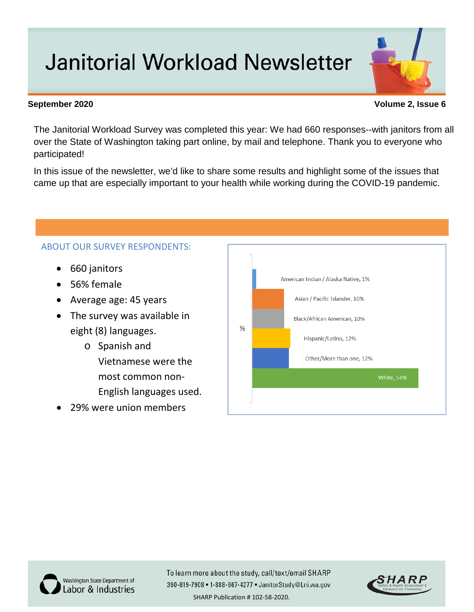## **Janitorial Workload Newsletter**

## **September 2020 Volume 2, Issue 6**

The Janitorial Workload Survey was completed this year: We had 660 responses--with janitors from all over the State of Washington taking part online, by mail and telephone. Thank you to everyone who participated!

In this issue of the newsletter, we'd like to share some results and highlight some of the issues that came up that are especially important to your health while working during the COVID-19 pandemic.